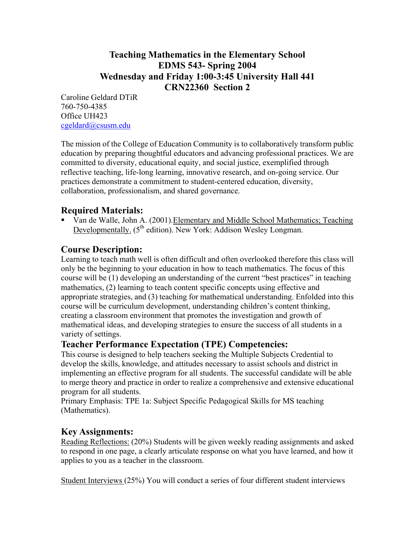## **Teaching Mathematics in the Elementary School EDMS 543- Spring 2004 Wednesday and Friday 1:00-3:45 University Hall 441 CRN22360 Section 2**

Caroline Geldard DTiR 760-750-4385 Office UH423 cgeldard@csusm.edu

The mission of the College of Education Community is to collaboratively transform public education by preparing thoughtful educators and advancing professional practices. We are committed to diversity, educational equity, and social justice, exemplified through reflective teaching, life-long learning, innovative research, and on-going service. Our practices demonstrate a commitment to student-centered education, diversity, collaboration, professionalism, and shared governance.

## **Required Materials:**

 Van de Walle, John A. (2001).Elementary and Middle School Mathematics; Teaching Developmentally. (5<sup>th</sup> edition). New York: Addison Wesley Longman.

## **Course Description:**

Learning to teach math well is often difficult and often overlooked therefore this class will only be the beginning to your education in how to teach mathematics. The focus of this course will be (1) developing an understanding of the current "best practices" in teaching mathematics, (2) learning to teach content specific concepts using effective and appropriate strategies, and (3) teaching for mathematical understanding. Enfolded into this course will be curriculum development, understanding children's content thinking, creating a classroom environment that promotes the investigation and growth of mathematical ideas, and developing strategies to ensure the success of all students in a variety of settings.

## **Teacher Performance Expectation (TPE) Competencies:**

This course is designed to help teachers seeking the Multiple Subjects Credential to develop the skills, knowledge, and attitudes necessary to assist schools and district in implementing an effective program for all students. The successful candidate will be able to merge theory and practice in order to realize a comprehensive and extensive educational program for all students.

Primary Emphasis: TPE 1a: Subject Specific Pedagogical Skills for MS teaching (Mathematics).

## **Key Assignments:**

Reading Reflections: (20%) Students will be given weekly reading assignments and asked to respond in one page, a clearly articulate response on what you have learned, and how it applies to you as a teacher in the classroom.

Student Interviews (25%) You will conduct a series of four different student interviews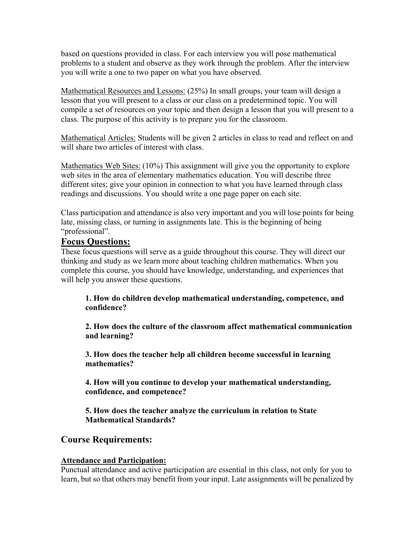based on questions provided in class. For each interview you will pose mathematical problems to a student and observe as they work through the problem. After the interview you will write a one to two paper on what you have observed.

Mathematical Resources and Lessons: (25%) In small groups, your team will design a lesson that you will present to a class or our class on a predetermined topic. You will compile a set of resources on your topic and then design a lesson that you will present to a class. The purpose of this activity is to prepare you for the classroom.

Mathematical Articles: Students will be given 2 articles in class to read and reflect on and will share two articles of interest with class.

Mathematics Web Sites: (10%) This assignment will give you the opportunity to explore web sites in the area of elementary mathematics education. You will describe three different sites; give your opinion in connection to what you have learned through class readings and discussions. You should write a one page paper on each site.

Class participation and attendance is also very important and you will lose points for being late, missing class, or turning in assignments late. This is the beginning of being "professional".

## **Focus Questions:**

These focus questions will serve as a guide throughout this course. They will direct our thinking and study as we learn more about teaching children mathematics. When you complete this course, you should have knowledge, understanding, and experiences that will help you answer these questions.

**1. How do children develop mathematical understanding, competence, and confidence?** 

 **2. How does the culture of the classroom affect mathematical communication and learning?** 

 **3. How does the teacher help all children become successful in learning mathematics?** 

 **4. How will you continue to develop your mathematical understanding, confidence, and competence?** 

 **5. How does the teacher analyze the curriculum in relation to State Mathematical Standards?** 

## **Course Requirements:**

#### **Attendance and Participation:**

Punctual attendance and active participation are essential in this class, not only for you to learn, but so that others may benefit from your input. Late assignments will be penalized by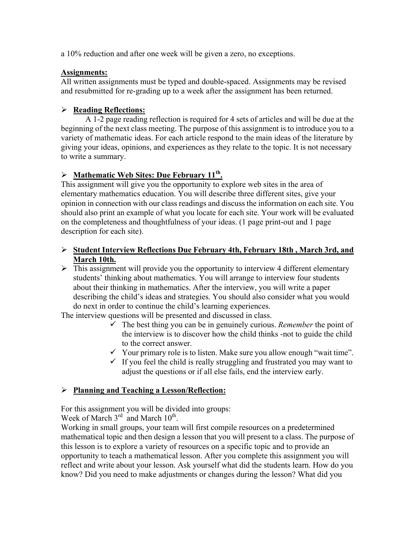a 10% reduction and after one week will be given a zero, no exceptions.

#### **Assignments:**

All written assignments must be typed and double-spaced. Assignments may be revised and resubmitted for re-grading up to a week after the assignment has been returned.

#### ¾ **Reading Reflections:**

A 1-2 page reading reflection is required for 4 sets of articles and will be due at the beginning of the next class meeting. The purpose of this assignment is to introduce you to a variety of mathematic ideas. For each article respond to the main ideas of the literature by giving your ideas, opinions, and experiences as they relate to the topic. It is not necessary to write a summary.

## ¾ **Mathematic Web Sites: Due February 11th.**

This assignment will give you the opportunity to explore web sites in the area of elementary mathematics education. You will describe three different sites, give your opinion in connection with our class readings and discuss the information on each site. You should also print an example of what you locate for each site. Your work will be evaluated on the completeness and thoughtfulness of your ideas. (1 page print-out and 1 page description for each site).

#### ¾ **Student Interview Reflections Due February 4th, February 18th , March 3rd, and March 10th.**

 $\triangleright$  This assignment will provide you the opportunity to interview 4 different elementary students' thinking about mathematics. You will arrange to interview four students about their thinking in mathematics. After the interview, you will write a paper describing the child's ideas and strategies. You should also consider what you would do next in order to continue the child's learning experiences.

The interview questions will be presented and discussed in class.

- $\checkmark$  The best thing you can be in genuinely curious. *Remember* the point of the interview is to discover how the child thinks -not to guide the child to the correct answer.
- $\checkmark$  Your primary role is to listen. Make sure you allow enough "wait time".
- $\checkmark$  If you feel the child is really struggling and frustrated you may want to adjust the questions or if all else fails, end the interview early.

#### ¾ **Planning and Teaching a Lesson/Reflection:**

For this assignment you will be divided into groups:

Week of March  $3<sup>rd</sup>$  and March  $10<sup>th</sup>$ .

Working in small groups, your team will first compile resources on a predetermined mathematical topic and then design a lesson that you will present to a class. The purpose of this lesson is to explore a variety of resources on a specific topic and to provide an opportunity to teach a mathematical lesson. After you complete this assignment you will reflect and write about your lesson. Ask yourself what did the students learn. How do you know? Did you need to make adjustments or changes during the lesson? What did you